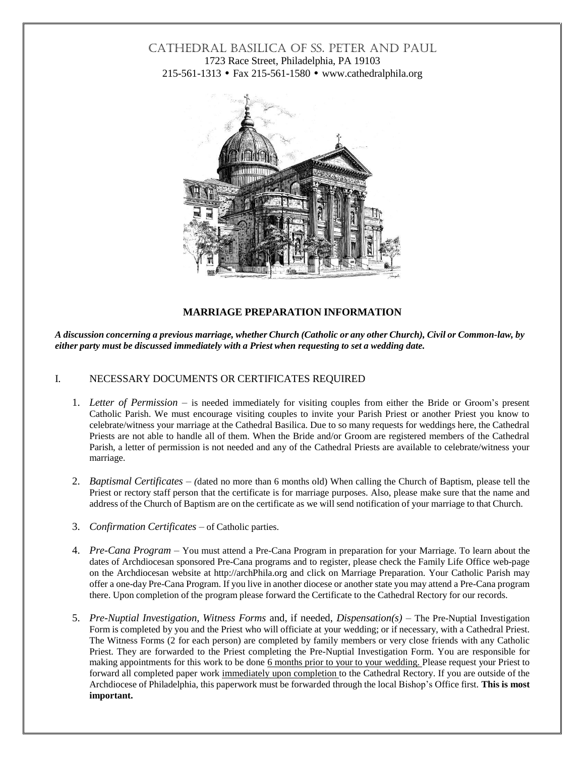# CATHEDRAL BASILICA OF SS. PETER AND PAUL 1723 Race Street, Philadelphia, PA 19103 215-561-1313 • Fax 215-561-1580 • [www.cathedralphila.org](http://www.cathedralphila.org/)



### **MARRIAGE PREPARATION INFORMATION**

A discussion concerning a previous marriage, whether Church (Catholic or any other Church), Civil or Common-law, by *either party must be discussed immediately with a Priest when requesting to set a wedding date.*

### I. NECESSARY DOCUMENTS OR CERTIFICATES REQUIRED

- 1. *Letter of Permission* is needed immediately for visiting couples from either the Bride or Groom's present Catholic Parish. We must encourage visiting couples to invite your Parish Priest or another Priest you know to celebrate/witness your marriage at the Cathedral Basilica. Due to so many requests for weddings here, the Cathedral Priests are not able to handle all of them. When the Bride and/or Groom are registered members of the Cathedral Parish, a letter of permission is not needed and any of the Cathedral Priests are available to celebrate/witness your marriage.
- 2. *Baptismal Certificates (*dated no more than 6 months old) When calling the Church of Baptism, please tell the Priest or rectory staff person that the certificate is for marriage purposes. Also, please make sure that the name and address of the Church of Baptism are on the certificate as we will send notification of your marriage to that Church.
- 3. *Confirmation Certificates* of Catholic parties.
- 4. *Pre-Cana Program* You must attend a Pre-Cana Program in preparation for your Marriage. To learn about the dates of Archdiocesan sponsored Pre-Cana programs and to register, please check the Family Life Office web-page on the Archdiocesan website at [http://archPhila.org](http://archphila.org/) and click on Marriage Preparation. Your Catholic Parish may offer a one-day Pre-Cana Program. If you live in another diocese or another state you may attend a Pre-Cana program there. Upon completion of the program please forward the Certificate to the Cathedral Rectory for our records.
- 5. *Pre-Nuptial Investigation, Witness Forms* and, if needed, *Dispensation(s)* The Pre-Nuptial Investigation Form is completed by you and the Priest who will officiate at your wedding; or if necessary, with a Cathedral Priest. The Witness Forms (2 for each person) are completed by family members or very close friends with any Catholic Priest. They are forwarded to the Priest completing the Pre-Nuptial Investigation Form. You are responsible for making appointments for this work to be done 6 months prior to your to your wedding. Please request your Priest to forward all completed paper work immediately upon completion to the Cathedral Rectory. If you are outside of the Archdiocese of Philadelphia, this paperwork must be forwarded through the local Bishop's Office first. **This is most important.**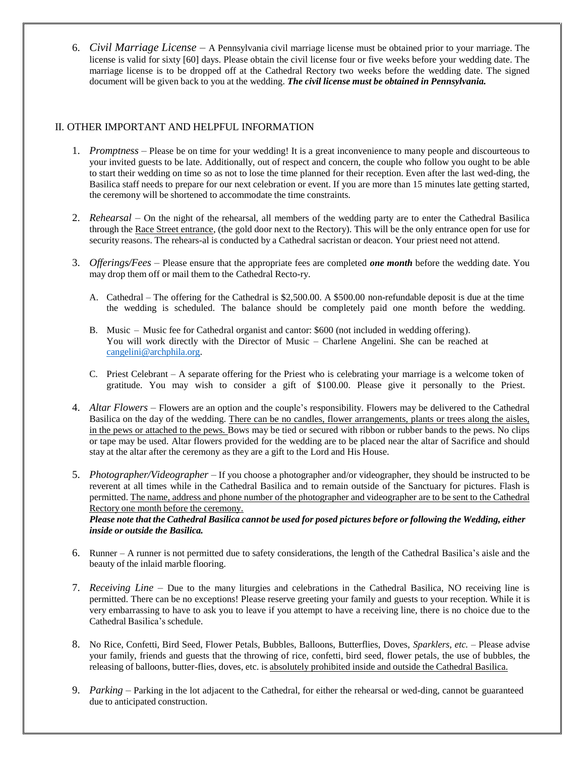6. *Civil Marriage License* – A Pennsylvania civil marriage license must be obtained prior to your marriage. The license is valid for sixty [60] days. Please obtain the civil license four or five weeks before your wedding date. The marriage license is to be dropped off at the Cathedral Rectory two weeks before the wedding date. The signed document will be given back to you at the wedding. *The civil license must be obtained in Pennsylvania.*

## II. OTHER IMPORTANT AND HELPFUL INFORMATION

- 1. *Promptness* Please be on time for your wedding! It is a great inconvenience to many people and discourteous to your invited guests to be late. Additionally, out of respect and concern, the couple who follow you ought to be able to start their wedding on time so as not to lose the time planned for their reception. Even after the last wed-ding, the Basilica staff needs to prepare for our next celebration or event. If you are more than 15 minutes late getting started, the ceremony will be shortened to accommodate the time constraints.
- 2. *Rehearsal* On the night of the rehearsal, all members of the wedding party are to enter the Cathedral Basilica through the Race Street entrance, (the gold door next to the Rectory). This will be the only entrance open for use for security reasons. The rehears-al is conducted by a Cathedral sacristan or deacon. Your priest need not attend.
- 3. *Offerings/Fees* Please ensure that the appropriate fees are completed *one month* before the wedding date. You may drop them off or mail them to the Cathedral Recto-ry.
	- A. Cathedral The offering for the Cathedral is \$2,500.00. A \$500.00 non-refundable deposit is due at the time the wedding is scheduled. The balance should be completely paid one month before the wedding.
	- B. Music Music fee for Cathedral organist and cantor: \$600 (not included in wedding offering). You will work directly with the Director of Music – Charlene Angelini. She can be reached at [cangelini@archphila.org.](mailto:cangelini@archphila.org)
	- C. Priest Celebrant A separate offering for the Priest who is celebrating your marriage is a welcome token of gratitude. You may wish to consider a gift of \$100.00. Please give it personally to the Priest.
- 4. *Altar Flowers* Flowers are an option and the couple's responsibility. Flowers may be delivered to the Cathedral Basilica on the day of the wedding. There can be no candles, flower arrangements, plants or trees along the aisles, in the pews or attached to the pews. Bows may be tied or secured with ribbon or rubber bands to the pews. No clips or tape may be used. Altar flowers provided for the wedding are to be placed near the altar of Sacrifice and should stay at the altar after the ceremony as they are a gift to the Lord and His House.
- 5. *Photographer/Videographer* If you choose a photographer and/or videographer, they should be instructed to be reverent at all times while in the Cathedral Basilica and to remain outside of the Sanctuary for pictures. Flash is permitted. The name, address and phone number of the photographer and videographer are to be sent to the Cathedral Rectory one month before the ceremony.

Please note that the Cathedral Basilica cannot be used for posed pictures before or following the Wedding, either *inside or outside the Basilica.*

- 6. Runner A runner is not permitted due to safety considerations, the length of the Cathedral Basilica's aisle and the beauty of the inlaid marble flooring.
- 7. *Receiving Line* Due to the many liturgies and celebrations in the Cathedral Basilica, NO receiving line is permitted. There can be no exceptions! Please reserve greeting your family and guests to your reception. While it is very embarrassing to have to ask you to leave if you attempt to have a receiving line, there is no choice due to the Cathedral Basilica's schedule.
- 8. No Rice, Confetti, Bird Seed, Flower Petals, Bubbles, Balloons, Butterflies, Doves, *Sparklers, etc.* Please advise your family, friends and guests that the throwing of rice, confetti, bird seed, flower petals, the use of bubbles, the releasing of balloons, butter-flies, doves, etc. is absolutely prohibited inside and outside the Cathedral Basilica.
- 9. *Parking* Parking in the lot adjacent to the Cathedral, for either the rehearsal or wed-ding, cannot be guaranteed due to anticipated construction.